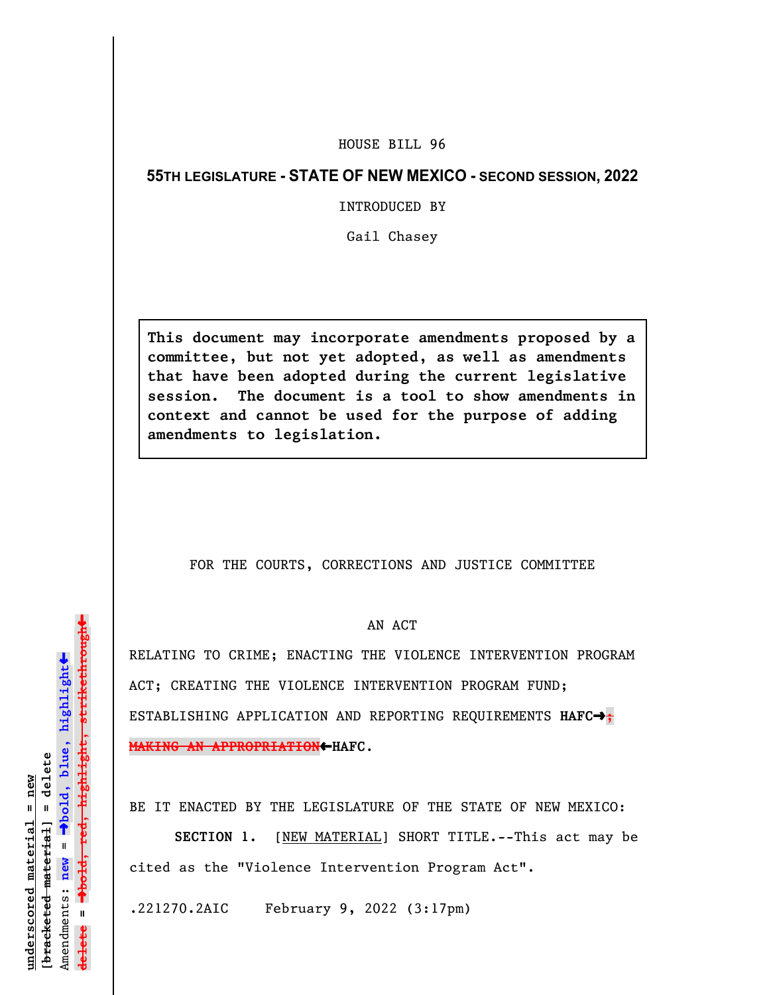## HOUSE BILL 96

## **55TH LEGISLATURE - STATE OF NEW MEXICO - SECOND SESSION, 2022**

INTRODUCED BY

Gail Chasey

**This document may incorporate amendments proposed by a committee, but not yet adopted, as well as amendments that have been adopted during the current legislative session. The document is a tool to show amendments in context and cannot be used for the purpose of adding amendments to legislation.**

## FOR THE COURTS, CORRECTIONS AND JUSTICE COMMITTEE

## AN ACT

RELATING TO CRIME; ENACTING THE VIOLENCE INTERVENTION PROGRAM ACT; CREATING THE VIOLENCE INTERVENTION PROGRAM FUND; ESTABLISHING APPLICATION AND REPORTING REQUIREMENTS HAFC $\rightarrow$ ; **MAKING AN APPROPRIATION**»**HAFC**.

BE IT ENACTED BY THE LEGISLATURE OF THE STATE OF NEW MEXICO:

**SECTION 1.** [NEW MATERIAL] SHORT TITLE.--This act may be cited as the "Violence Intervention Program Act".

.221270.2AIC February 9, 2022 (3:17pm)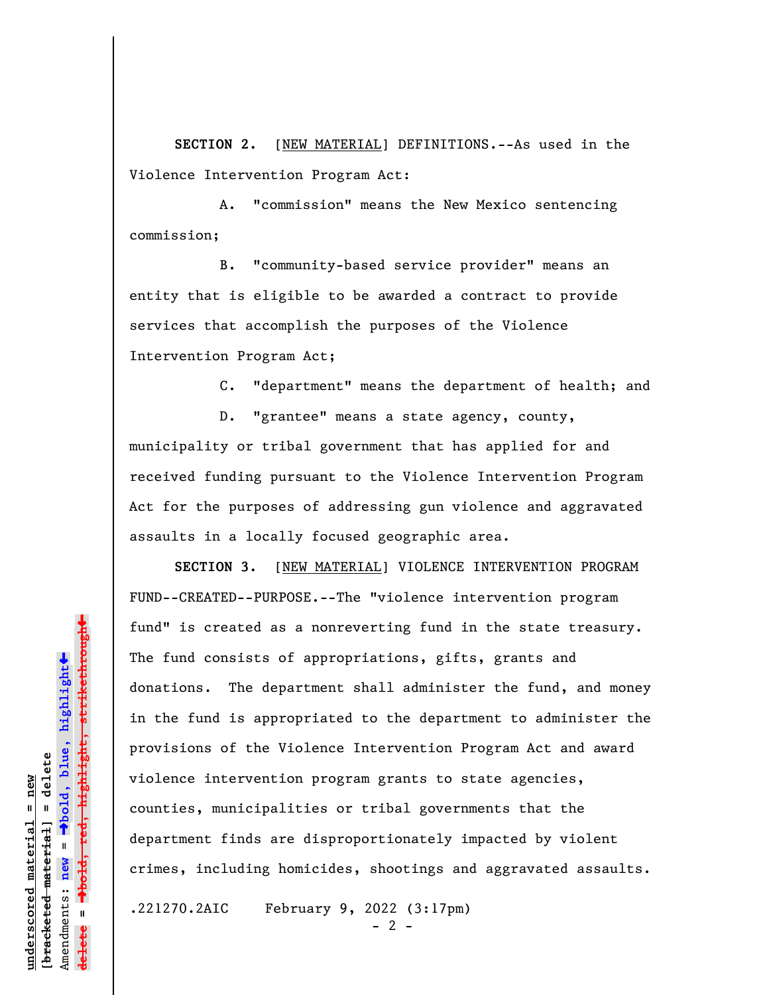**SECTION 2.** [NEW MATERIAL] DEFINITIONS.--As used in the Violence Intervention Program Act:

A. "commission" means the New Mexico sentencing commission;

B. "community-based service provider" means an entity that is eligible to be awarded a contract to provide services that accomplish the purposes of the Violence Intervention Program Act;

C. "department" means the department of health; and

D. "grantee" means a state agency, county, municipality or tribal government that has applied for and received funding pursuant to the Violence Intervention Program Act for the purposes of addressing gun violence and aggravated assaults in a locally focused geographic area.

**SECTION 3.** [NEW MATERIAL] VIOLENCE INTERVENTION PROGRAM FUND--CREATED--PURPOSE.--The "violence intervention program fund" is created as a nonreverting fund in the state treasury. The fund consists of appropriations, gifts, grants and donations. The department shall administer the fund, and money in the fund is appropriated to the department to administer the provisions of the Violence Intervention Program Act and award violence intervention program grants to state agencies, counties, municipalities or tribal governments that the department finds are disproportionately impacted by violent crimes, including homicides, shootings and aggravated assaults.

.221270.2AIC February 9, 2022 (3:17pm)

 $- 2 -$ 

 $\ddag$ º**bold, red, highlight, strikethrough**  $\ddot{\bullet}$ º**bold, blue, highlight** bracketed material] = delete **[bracketed material] = delete** inderscored material = new **underscored material = new** Amendments: **new** =  $\mathbf{u}$ Amendments: new **delete =**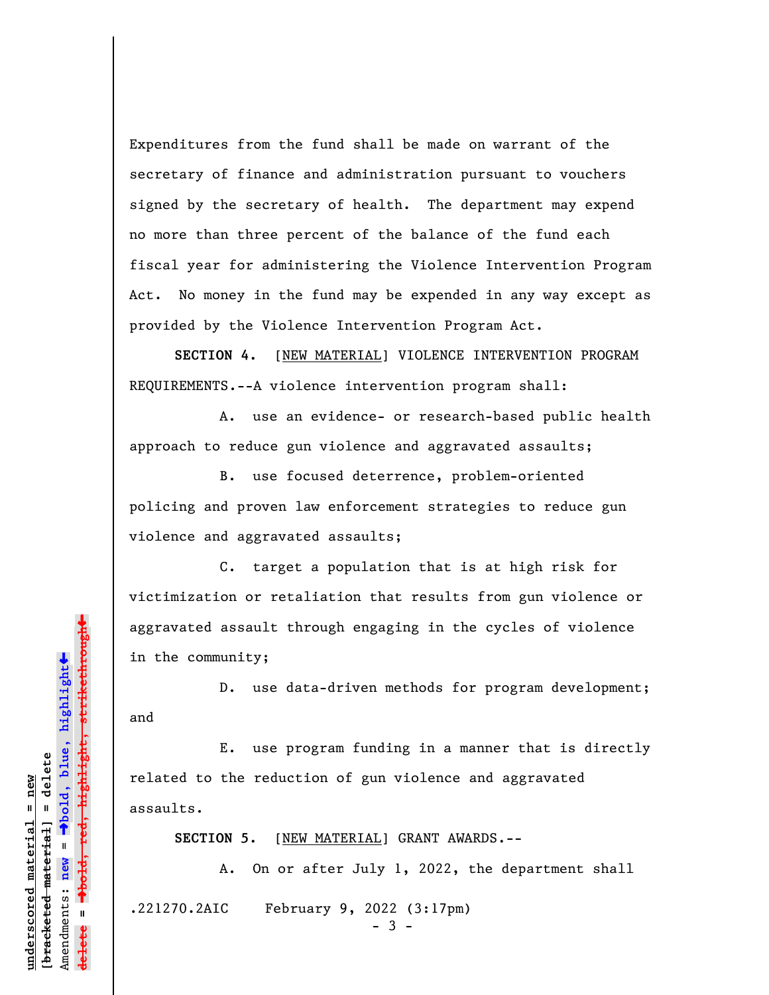Expenditures from the fund shall be made on warrant of the secretary of finance and administration pursuant to vouchers signed by the secretary of health. The department may expend no more than three percent of the balance of the fund each fiscal year for administering the Violence Intervention Program Act. No money in the fund may be expended in any way except as provided by the Violence Intervention Program Act.

**SECTION 4.** [NEW MATERIAL] VIOLENCE INTERVENTION PROGRAM REQUIREMENTS.--A violence intervention program shall:

A. use an evidence- or research-based public health approach to reduce gun violence and aggravated assaults;

B. use focused deterrence, problem-oriented policing and proven law enforcement strategies to reduce gun violence and aggravated assaults;

C. target a population that is at high risk for victimization or retaliation that results from gun violence or aggravated assault through engaging in the cycles of violence in the community;

D. use data-driven methods for program development; and

E. use program funding in a manner that is directly related to the reduction of gun violence and aggravated assaults.

**SECTION 5.** [NEW MATERIAL] GRANT AWARDS.--

.221270.2AIC February 9, 2022 (3:17pm)

- 3 -

A. On or after July 1, 2022, the department shall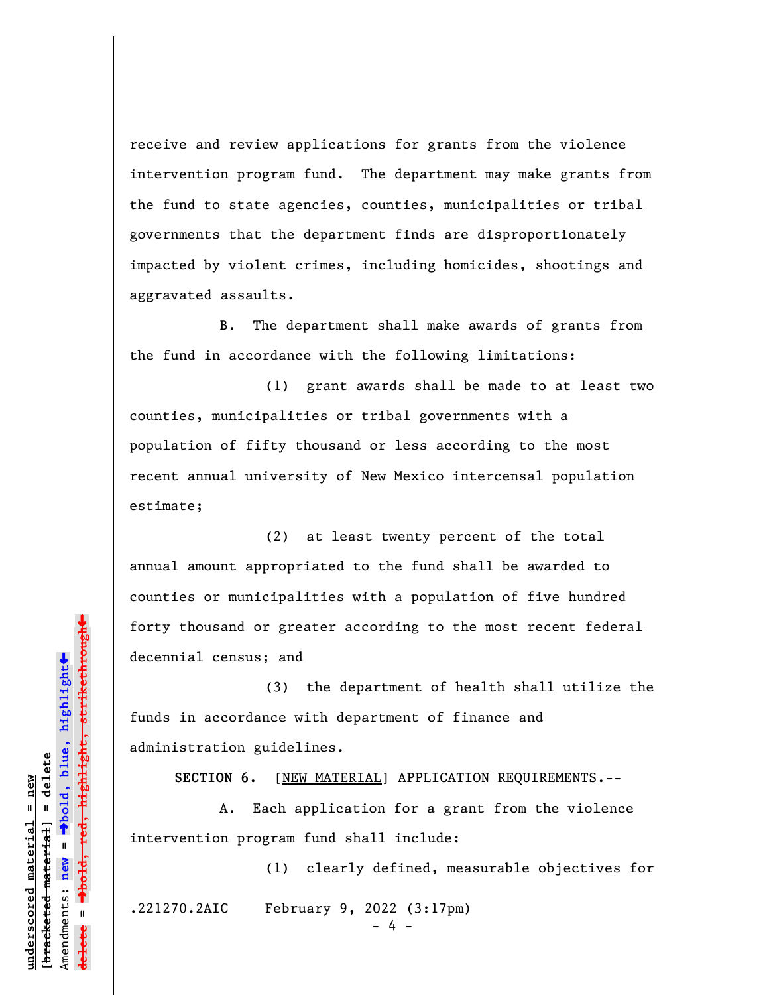receive and review applications for grants from the violence intervention program fund. The department may make grants from the fund to state agencies, counties, municipalities or tribal governments that the department finds are disproportionately impacted by violent crimes, including homicides, shootings and aggravated assaults.

B. The department shall make awards of grants from the fund in accordance with the following limitations:

(1) grant awards shall be made to at least two counties, municipalities or tribal governments with a population of fifty thousand or less according to the most recent annual university of New Mexico intercensal population estimate;

(2) at least twenty percent of the total annual amount appropriated to the fund shall be awarded to counties or municipalities with a population of five hundred forty thousand or greater according to the most recent federal decennial census; and

(3) the department of health shall utilize the funds in accordance with department of finance and administration guidelines.

SECTION 6. [NEW MATERIAL] APPLICATION REQUIREMENTS.--

A. Each application for a grant from the violence intervention program fund shall include:

(1) clearly defined, measurable objectives for .221270.2AIC February 9, 2022 (3:17pm)

- 4 -

º**bold, red, highlight, strikethrough**  $\ddot{\bullet}$ º**bold, blue, highlight** bracketed material] = delete **[bracketed material] = delete** inderscored material = new **underscored material = new** Amendments: **new** =  $\mathbf{u}$ Amendments: new **delete =**

 $\ddag$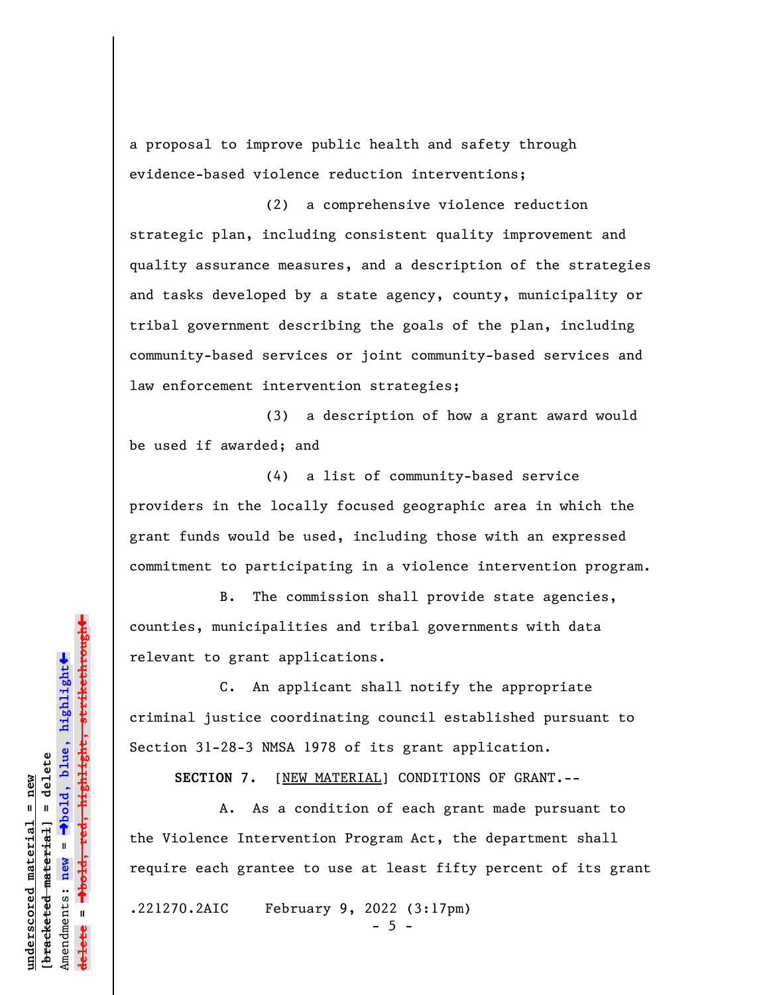a proposal to improve public health and safety through evidence-based violence reduction interventions;

(2) a comprehensive violence reduction strategic plan, including consistent quality improvement and quality assurance measures, and a description of the strategies and tasks developed by a state agency, county, municipality or tribal government describing the goals of the plan, including community-based services or joint community-based services and law enforcement intervention strategies;

(3) a description of how a grant award would be used if awarded; and

(4) a list of community-based service providers in the locally focused geographic area in which the grant funds would be used, including those with an expressed commitment to participating in a violence intervention program.

B. The commission shall provide state agencies, counties, municipalities and tribal governments with data relevant to grant applications.

C. An applicant shall notify the appropriate criminal justice coordinating council established pursuant to Section 31-28-3 NMSA 1978 of its grant application.

**SECTION 7.** [NEW MATERIAL] CONDITIONS OF GRANT.--

A. As a condition of each grant made pursuant to the Violence Intervention Program Act, the department shall require each grantee to use at least fifty percent of its grant

.221270.2AIC February 9, 2022 (3:17pm)

 $-5 -$ 

»highlight, strikethrough º**bold, red, highlight, strikethrough**  $\ddot{\bullet}$ º**bold, blue, highlight** bracketed material] = delete **[bracketed material] = delete** inderscored material = new **underscored material = new** Amendments: **new** =  $\mathbf{u}$ Amendments: new **delete =**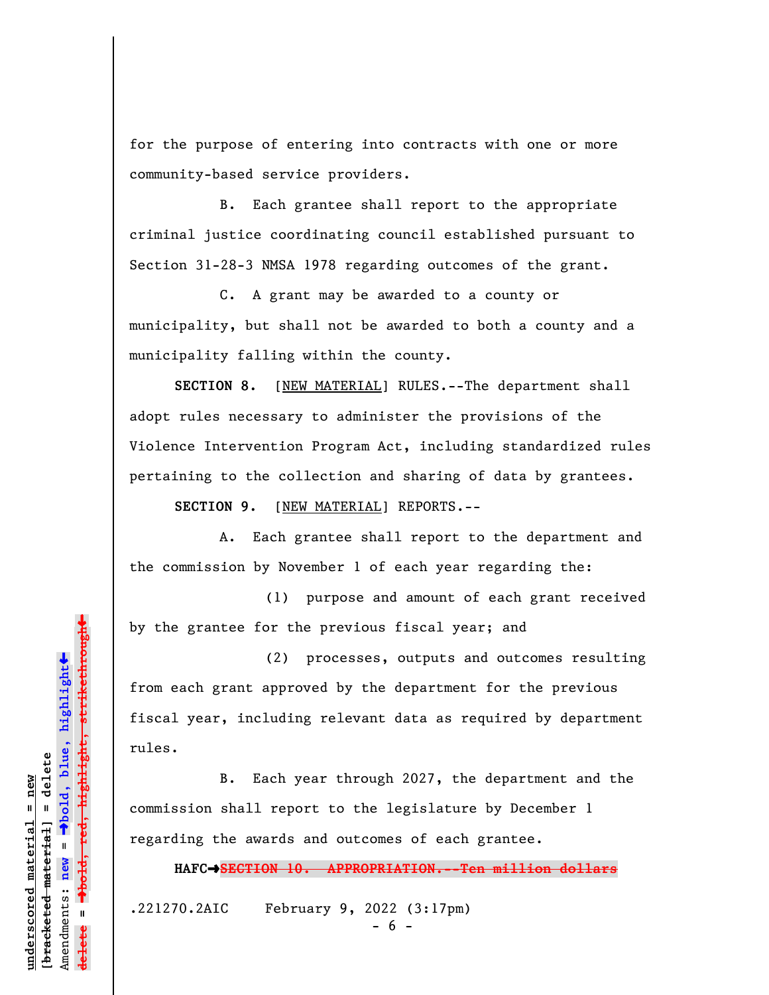for the purpose of entering into contracts with one or more community-based service providers.

B. Each grantee shall report to the appropriate criminal justice coordinating council established pursuant to Section 31-28-3 NMSA 1978 regarding outcomes of the grant.

C. A grant may be awarded to a county or municipality, but shall not be awarded to both a county and a municipality falling within the county.

**SECTION 8.** [NEW MATERIAL] RULES.--The department shall adopt rules necessary to administer the provisions of the Violence Intervention Program Act, including standardized rules pertaining to the collection and sharing of data by grantees.

**SECTION 9.** [NEW MATERIAL] REPORTS.--

A. Each grantee shall report to the department and the commission by November 1 of each year regarding the:

(1) purpose and amount of each grant received by the grantee for the previous fiscal year; and

(2) processes, outputs and outcomes resulting from each grant approved by the department for the previous fiscal year, including relevant data as required by department rules.

B. Each year through 2027, the department and the commission shall report to the legislature by December 1 regarding the awards and outcomes of each grantee.

**HAFC**º**SECTION 10. APPROPRIATION.--Ten million dollars**

.221270.2AIC February 9, 2022 (3:17pm)

»hold, red, highlight, strikethrough º**bold, red, highlight, strikethrough**  $\ddot{\bullet}$ º**bold, blue, highlight** bracketed material] = delete **[bracketed material] = delete** inderscored material = new **underscored material = new** Amendments: **new** =  $\mathbf{u}$ Amendments: new **delete =**